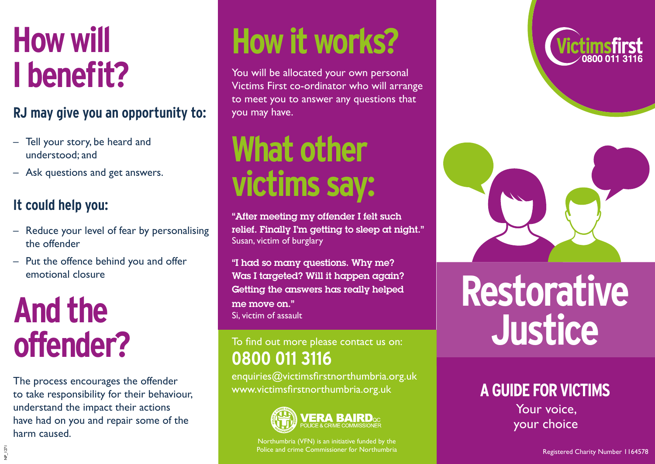## **How will I benefit?**

#### **RJ may give you an opportunity to:**

- Tell your story, be heard and understood; and
- Ask questions and get answers.

#### **It could help you:**

- Reduce your level of fear by personalising the offender
- Put the offence behind you and offer emotional closure

### **And the offender?**

NP\_1271

The process encourages the offender to take responsibility for their behaviour, understand the impact their actions have had on you and repair some of the harm caused.

# **How it works?**

You will be allocated your own personal Victims First co-ordinator who will arrange to meet you to answer any questions that you may have.

### **What other victims say:**

"After meeting my offender I felt such relief. Finally I'm getting to sleep at night." Susan, victim of burglary

"I had so many questions. Why me? Was I targeted? Will it happen again? Getting the answers has really helped me move on." Si, victim of assault

#### To find out more please contact us on: **0800 011 3116**

enquiries@victimsfirstnorthumbria.org.uk www.victimsfirstnorthumbria.org.uk



Northumbria (VFN) is an initiative funded by the Police and crime Commissioner for Northumbria





# **Restorative Justice**

#### **A GUIDE FOR VICTIMS**

Your voice, your choice